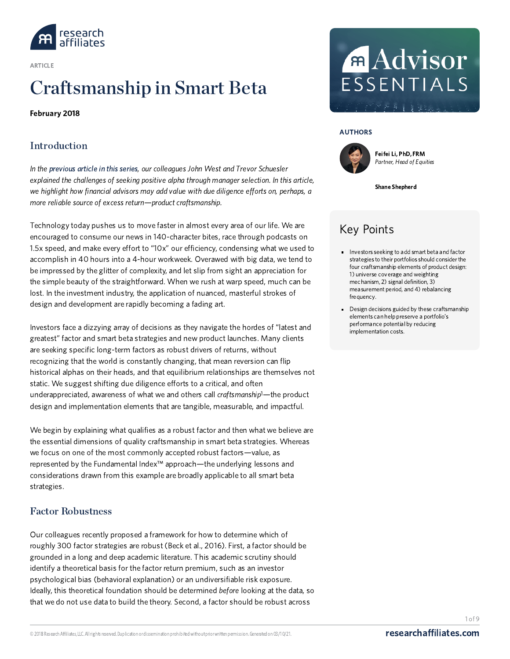

ARTICLE

# [Craftsmanship](https://www.researchaffiliates.com/content/ra/na/en_us/publications/articles/654-craftsmanship-in-smart-beta.html) in Smart Beta

#### February 2018

# **Introduction**

In the [previous](https://www.researchaffiliates.com/content/ra/na/en_us/publications/articles/650-is-manager-selection-worth-the-effort-for-financial-advisors.html) article in this series, our colleagues John West and Trevor Schuesler explained the challenges of seeking positive alpha through manager selection. In this article, we highlight how financial advisors may add value with due diligence efforts on, perhaps, a more reliable source of excess return—product craftsmanship.

Technology today pushes us to move faster in almost every area of our life. We are encouraged to consume our news in 140-character bites, race through podcasts on 1.5x speed, and make every effort to "10x" our efficiency, condensing what we used to accomplish in 40 hours into a 4-hour workweek. Overawed with big data, we tend to be impressed by the glitter of complexity, and let slip from sight an appreciation for the simple beauty of the straightforward. When we rush at warp speed, much can be lost. In the investment industry, the application of nuanced, masterful strokes of design and development are rapidly becoming a fading art.

Investors face a dizzying array of decisions as they navigate the hordes of "latest and greatest" factor and smart beta strategies and new product launches. Many clients are seeking specific long-term factors as robust drivers of returns, without recognizing that the world is constantly changing, that mean reversion can flip historical alphas on their heads, and that equilibrium relationships are themselves not static. We suggest shifting due diligence efforts to a critical, and often underappreciated, awareness of what we and others call craftsmanship<sup>1</sup>—the product design and implementation elements that are tangible, measurable, and impactful.

We begin by explaining what qualifies as a robust factor and then what we believe are the essential dimensions of quality craftsmanship in smart beta strategies. Whereas we focus on one of the most commonly accepted robust factors—value, as represented by the Fundamental Index™ approach—the underlying lessons and considerations drawn from this example are broadly applicable to all smart beta strategies.

## Factor Robustness

Our colleagues recently proposed a framework for how to determine which of roughly 300 factor strategies are robust (Beck et al., 2016). First, a factor should be grounded in a long and deep academic literature. This academic scrutiny should identify a theoretical basis for the factor return premium, such as an investor psychological bias (behavioral explanation) or an undiversifiable risk exposure. Ideally, this theoretical foundation should be determined before looking at the data, so that we do not use data to build the theory. Second, a factor should be robust across

# **Advisor** ESSENTIALS

AUTHORS



Feifei Li,PhD, FRM [Partner,](https://www.researchaffiliates.com/content/ra/na/en_us/about-us/our-team/feifeili.html) Head of Equities

Shane Shepherd

# Key Points

- **Investors seeking to add smart beta and factor** strategies to their portfolios should consider the four craftsmanship elements of product design: 1) universe coverage and weighting mechanism, 2) signal definition, 3) measurement period, and 4) rebalancing frequency.
- Design decisions guided by these craftsmanship elements can help preserve a portfolio's performance potential by reducing implementation costs.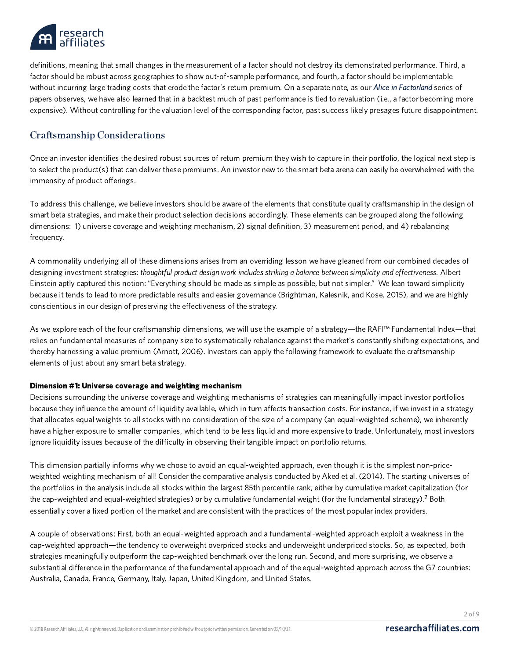

definitions, meaning that small changes in the measurement of a factor should not destroy its demonstrated performance. Third, a factor should be robust across geographies to show out-of-sample performance, and fourth, a factor should be implementable without incurring large trading costs that erode the factor's return premium. On a separate note, as our Alice in [Factorland](https://www.researchaffiliates.com/content/ra/na/en_us/publications/themes/alice-in-factorland.html) series of papers observes, we have also learned that in a backtest much of past performance is tied to revaluation (i.e., a factor becoming more expensive). Without controlling for the valuation level of the corresponding factor, past success likely presages future disappointment.

# Craftsmanship Considerations

Once an investor identifies the desired robust sources of return premium they wish to capture in their portfolio, the logical next step is to select the product(s) that can deliver these premiums. An investor new to the smart beta arena can easily be overwhelmed with the immensity of product offerings.

To address this challenge, we believe investors should be aware of the elements that constitute quality craftsmanship in the design of smart beta strategies, and make their product selection decisions accordingly. These elements can be grouped along the following dimensions: 1) universe coverage and weighting mechanism, 2) signal definition, 3) measurement period, and 4) rebalancing frequency.

A commonality underlying all of these dimensions arises from an overriding lesson we have gleaned from our combined decades of designing investment strategies: thoughtful product design work includes striking a balance between simplicity and effectiveness. Albert Einstein aptly captured this notion: "Everything should be made as simple as possible, but not simpler." We lean toward simplicity because it tends to lead to more predictable results and easier governance (Brightman, Kalesnik, and Kose, 2015), and we are highly conscientious in our design of preserving the effectiveness of the strategy.

As we explore each of the four craftsmanship dimensions, we will use the example of a strategy—the RAFI™ Fundamental Index—that relies on fundamental measures of company size to systematically rebalance against the market's constantly shifting expectations, and thereby harnessing a value premium (Arnott, 2006). Investors can apply the following framework to evaluate the craftsmanship elements of just about any smart beta strategy.

#### Dimension #1: Universe coverage and weighting mechanism

Decisions surrounding the universe coverage and weighting mechanisms of strategies can meaningfully impact investor portfolios because they influence the amount of liquidity available, which in turn affects transaction costs. For instance, if we invest in a strategy that allocates equal weights to all stocks with no consideration of the size of a company (an equal-weighted scheme), we inherently have a higher exposure to smaller companies, which tend to be less liquid and more expensive to trade. Unfortunately, most investors ignore liquidity issues because of the difficulty in observing their tangible impact on portfolio returns.

This dimension partially informs why we chose to avoid an equal-weighted approach, even though it is the simplest non-priceweighted weighting mechanism of all! Consider the comparative analysis conducted by Aked et al. (2014). The starting universes of the portfolios in the analysis include all stocks within the largest 85th percentile rank, either by cumulative market capitalization (for the cap-weighted and equal-weighted strategies) or by cumulative fundamental weight (for the fundamental strategy).<sup>2</sup> Both essentially cover a fixed portion of the market and are consistent with the practices of the most popular index providers.

A couple of observations: First, both an equal-weighted approach and a fundamental-weighted approach exploit a weakness in the cap-weighted approach—the tendency to overweight overpriced stocks and underweight underpriced stocks. So, as expected, both strategies meaningfully outperform the cap-weighted benchmark over the long run. Second, and more surprising, we observe a substantial difference in the performance of the fundamental approach and of the equal-weighted approach across the G7 countries: Australia, Canada, France, Germany, Italy, Japan, United Kingdom, and United States.

2 of 9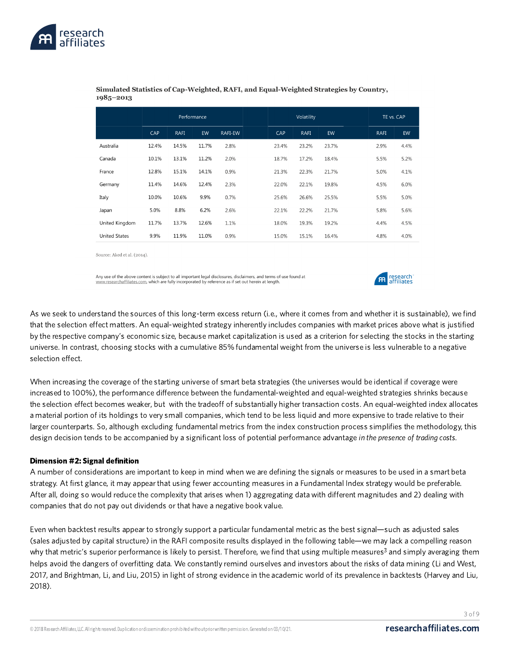

|                      | Performance |             |       | Volatility |       |             | TE vs. CAP |             |      |
|----------------------|-------------|-------------|-------|------------|-------|-------------|------------|-------------|------|
|                      | CAP         | <b>RAFI</b> | EW    | RAFI-EW    | CAP   | <b>RAFI</b> | EW         | <b>RAFI</b> | EW   |
| Australia            | 12.4%       | 14.5%       | 11.7% | 2.8%       | 23.4% | 23.2%       | 23.7%      | 2.9%        | 4.4% |
| Canada               | 10.1%       | 13.1%       | 11.2% | 2.0%       | 18.7% | 17.2%       | 18.4%      | 5.5%        | 5.2% |
| France               | 12.8%       | 15.1%       | 14.1% | 0.9%       | 21.3% | 22.3%       | 21.7%      | 5.0%        | 4.1% |
| Germany              | 11.4%       | 14.6%       | 12.4% | 2.3%       | 22.0% | 22.1%       | 19.8%      | 4.5%        | 6.0% |
| Italy                | 10.0%       | 10.6%       | 9.9%  | 0.7%       | 25.6% | 26.6%       | 25.5%      | 5.5%        | 5.0% |
| Japan                | 5.0%        | 8.8%        | 6.2%  | 2.6%       | 22.1% | 22.2%       | 21.7%      | 5.8%        | 5.6% |
| United Kingdom       | 11.7%       | 13.7%       | 12.6% | 1.1%       | 18.0% | 19.3%       | 19.2%      | 4.4%        | 4.5% |
| <b>United States</b> | 9.9%        | 11.9%       | 11.0% | 0.9%       | 15.0% | 15.1%       | 16.4%      | 4.8%        | 4.0% |

Simulated Statistics of Cap-Weighted, RAFI, and Equal-Weighted Strategies by Country,  $1985 - 2013$ 

Source: Aked et al. (2014).

Any use of the above content is subject to all important legal disclosures, disclaimers, and terms of use found at www.researchaffiliates.com, which are fully incorporated by reference as if set out herein at length.



As we seek to understand the sources of this long-term excess return (i.e., where it comes from and whether it is sustainable), we find that the selection effect matters. An equal-weighted strategy inherently includes companies with market prices above what is justified by the respective company's economic size, because market capitalization is used as a criterion for selecting the stocks in the starting universe. In contrast, choosing stocks with a cumulative 85% fundamental weight from the universe is less vulnerable to a negative selection effect.

When increasing the coverage of the starting universe of smart beta strategies (the universes would be identical if coverage were increased to 100%), the performance difference between the fundamental-weighted and equal-weighted strategies shrinks because the selection effect becomes weaker, but with the tradeoff of substantially higher transaction costs. An equal-weighted index allocates a material portion of its holdings to very small companies, which tend to be less liquid and more expensive to trade relative to their larger counterparts. So, although excluding fundamental metrics from the index construction process simplifies the methodology, this design decision tends to be accompanied by a significant loss of potential performance advantage in the presence of trading costs.

#### Dimension #2: Signal definition

A number of considerations are important to keep in mind when we are defining the signals or measures to be used in a smart beta strategy. At first glance, it may appear that using fewer accounting measures in a Fundamental Index strategy would be preferable. After all, doing so would reduce the complexity that arises when 1) aggregating data with different magnitudes and 2) dealing with companies that do not pay out dividends or that have a negative book value.

Even when backtest results appear to strongly support a particular fundamental metric as the best signal—such as adjusted sales (sales adjusted by capital structure) in the RAFI composite results displayed in the following table—we may lack a compelling reason why that metric's superior performance is likely to persist. Therefore, we find that using multiple measures<sup>3</sup> and simply averaging them helps avoid the dangers of overfitting data. We constantly remind ourselves and investors about the risks of data mining (Li and West, 2017, and Brightman, Li, and Liu, 2015) in light of strong evidence in the academic world of its prevalence in backtests (Harvey and Liu, 2018).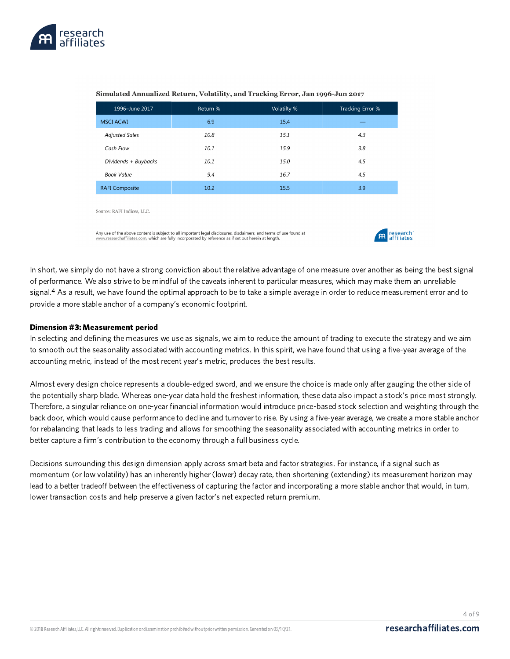

| 1996-June 2017        | Return % | Volatilty % | Tracking Error % |
|-----------------------|----------|-------------|------------------|
| <b>MSCI ACWI</b>      | 6.9      | 15.4        |                  |
| <b>Adjusted Sales</b> | 10.8     | 15.1        | 4.3              |
| Cash Flow             | 10.1     | 15.9        | 3.8              |
| Dividends + Buybacks  | 10.1     | 15.0        | 4.5              |
| <b>Book Value</b>     | 9.4      | 16.7        | 4.5              |
| <b>RAFI Composite</b> | 10.2     | 15.5        | 3.9              |

#### Simulated Annualized Return, Volatility, and Tracking Error, Jan 1996-Jun 2017

Source: RAFI Indices, LLC.

Any use of the above content is subject to all important legal disclosures, disclaimers, and terms of use found at www.researchaffiliates.com, which are fully incorporated by reference as if set out herein at length.



In short, we simply do not have a strong conviction about the relative advantage of one measure over another as being the best signal of performance. We also strive to be mindful of the caveats inherent to particular measures, which may make them an unreliable signal.<sup>4</sup> As a result, we have found the optimal approach to be to take a simple average in order to reduce measurement error and to provide a more stable anchor of a company's economic footprint.

#### Dimension #3: Measurement period

In selecting and defining the measures we use as signals, we aim to reduce the amount of trading to execute the strategy and we aim to smooth out the seasonality associated with accounting metrics. In this spirit, we have found that using a five-year average of the accounting metric, instead of the most recent year's metric, produces the best results.

Almost every design choice represents a double-edged sword, and we ensure the choice is made only after gauging the other side of the potentially sharp blade. Whereas one-year data hold the freshest information, these data also impact a stock's price most strongly. Therefore, a singular reliance on one-year financial information would introduce price-based stock selection and weighting through the back door, which would cause performance to decline and turnover to rise. By using a five-year average, we create a more stable anchor for rebalancing that leads to less trading and allows for smoothing the seasonality associated with accounting metrics in order to better capture a firm's contribution to the economy through a full business cycle.

Decisions surrounding this design dimension apply across smart beta and factor strategies. For instance, if a signal such as momentum (or low volatility) has an inherently higher (lower) decay rate, then shortening (extending) its measurement horizon may lead to a better tradeoff between the effectiveness of capturing the factor and incorporating a more stable anchor that would, in turn, lower transaction costs and help preserve a given factor's net expected return premium.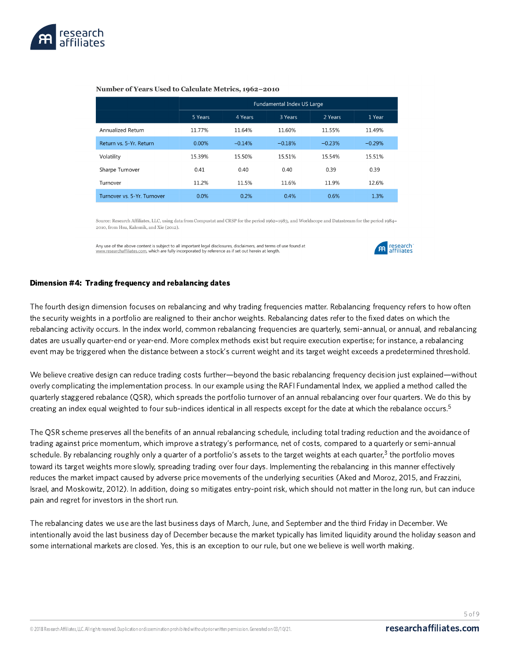

#### Number of Years Used to Calculate Metrics, 1962-2010

|                             | Fundamental Index US Large |          |          |          |          |  |  |
|-----------------------------|----------------------------|----------|----------|----------|----------|--|--|
|                             | 5 Years                    | 4 Years  | 3 Years  | 2 Years  | 1 Year   |  |  |
| Annualized Return           | 11.77%                     | 11.64%   | 11.60%   | 11.55%   | 11.49%   |  |  |
| Return vs. 5-Yr. Return     | 0.00%                      | $-0.14%$ | $-0.18%$ | $-0.23%$ | $-0.29%$ |  |  |
| Volatility                  | 15.39%                     | 15.50%   | 15.51%   | 15.54%   | 15.51%   |  |  |
| Sharpe Turnover             | 0.41                       | 0.40     | 0.40     | 0.39     | 0.39     |  |  |
| Turnover                    | 11.2%                      | 11.5%    | 11.6%    | 11.9%    | 12.6%    |  |  |
| Turnover vs. 5-Yr. Turnover | 0.0%                       | 0.2%     | 0.4%     | 0.6%     | 1.3%     |  |  |

Source: Research Affiliates, LLC, using data from Compustat and CRSP for the period 1962-1983, and Worldscope and Datastream for the period 1984-2010, from Hsu, Kalesnik, and Xie (2012).

Any use of the above content is subject to all important legal disclosures, disclaimers, and terms of use found at www.researchaffiliates.com, which are fully incorporated by reference as if set out herein at length.



#### Dimension #4: Trading frequency and rebalancing dates

The fourth design dimension focuses on rebalancing and why trading frequencies matter. Rebalancing frequency refers to how often the security weights in a portfolio are realigned to their anchor weights. Rebalancing dates refer to the fixed dates on which the rebalancing activity occurs. In the index world, common rebalancing frequencies are quarterly, semi-annual, or annual, and rebalancing dates are usually quarter-end or year-end. More complex methods exist but require execution expertise; for instance, a rebalancing event may be triggered when the distance between a stock's current weight and its target weight exceeds a predetermined threshold.

We believe creative design can reduce trading costs further—beyond the basic rebalancing frequency decision just explained—without overly complicating the implementation process. In our example using the RAFI Fundamental Index, we applied a method called the quarterly staggered rebalance (QSR), which spreads the portfolio turnover of an annual rebalancing over four quarters. We do this by creating an index equal weighted to four sub-indices identical in all respects except for the date at which the rebalance occurs. 5

The QSR scheme preserves all the benefits of an annual rebalancing schedule, including total trading reduction and the avoidance of trading against price momentum, which improve a strategy's performance, net of costs, compared to a quarterly or semi-annual schedule. By rebalancing roughly only a quarter of a portfolio's assets to the target weights at each quarter,<sup>3</sup> the portfolio moves toward its target weights more slowly, spreading trading over four days. Implementing the rebalancing in this manner effectively reduces the market impact caused by adverse price movements of the underlying securities (Aked and Moroz, 2015, and Frazzini, Israel, and Moskowitz, 2012). In addition, doing so mitigates entry-point risk, which should not matter in the long run, but can induce pain and regret for investors in the short run.

The rebalancing dates we use are the last business days of March, June, and September and the third Friday in December. We intentionally avoid the last business day of December because the market typically has limited liquidity around the holiday season and some international markets are closed. Yes, this is an exception to our rule, but one we believe is well worth making.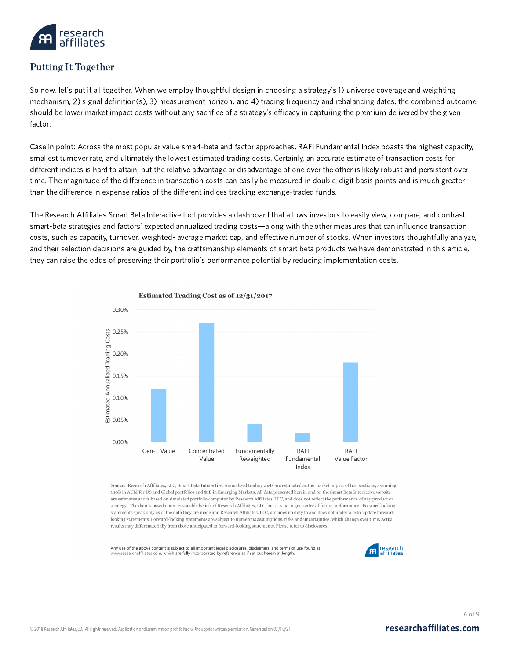

# Putting It Together

So now, let's put it all together. When we employ thoughtful design in choosing a strategy's 1) universe coverage and weighting mechanism, 2) signal definition(s), 3) measurement horizon, and 4) trading frequency and rebalancing dates, the combined outcome should be lower market impact costs without any sacrifice of a strategy's efficacy in capturing the premium delivered by the given factor.

Case in point: Across the most popular value smart-beta and factor approaches, RAFI Fundamental Index boasts the highest capacity, smallest turnover rate, and ultimately the lowest estimated trading costs. Certainly, an accurate estimate of transaction costs for different indices is hard to attain, but the relative advantage or disadvantage of one over the other is likely robust and persistent over time. The magnitude of the difference in transaction costs can easily be measured in double-digit basis points and is much greater than the difference in expense ratios of the different indices tracking exchange-traded funds.

The Research Affiliates Smart Beta Interactive tool provides a dashboard that allows investors to easily view, compare, and contrast smart-beta strategies and factors' expected annualized trading costs—along with the other measures that can influence transaction costs, such as capacity, turnover, weighted- average market cap, and effective number of stocks. When investors thoughtfully analyze, and their selection decisions are guided by, the craftsmanship elements of smart beta products we have demonstrated in this article, they can raise the odds of preserving their portfolio's performance potential by reducing implementation costs.



Estimated Trading Cost as of 12/31/2017

Source: Research Affiliates, LLC, Smart Beta Interactive. Annualized trading costs are estimated as the market impact of transactions, assuming \$10B in AUM for US and Global portfolios and \$1B in Emerging Markets. All data presented herein and on the Smart Beta Interactive website are estimates and is based on simulated portfolio computed by Research Affiliates, LLC, and does not reflect the performance of any product or strategy. The data is based upon reasonable beliefs of Research Affiliates, LLC, but it is not a guarantee of future performance. Forward looking statements speak only as of the data they are made and Research Affiliates, LLC, assumes no duty to and does not undertake to update forwardlooking statements. Forward-looking statements are subject to numerous assumptions, risks and uncertainties, which change over time. Actual results may differ materially from those anticipated in forward-looking statements. Please refer to disclosures.

Any use of the above content is subject to all important legal disclosures, disclaimers, and terms of use found at w.researchaffiliates.com, which are fully incorporated by reference as if set out herein at length



6 of 9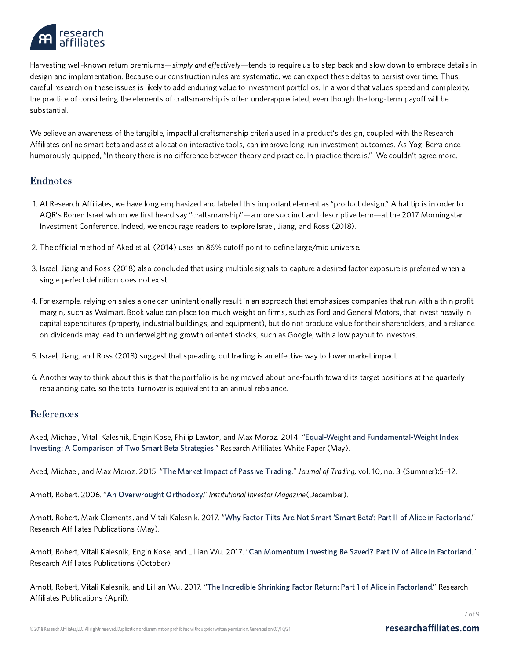

Harvesting well-known return premiums—simply and effectively—tends to require us to step back and slow down to embrace details in design and implementation. Because our construction rules are systematic, we can expect these deltas to persist over time. Thus, careful research on these issues is likely to add enduring value to investment portfolios. In a world that values speed and complexity, the practice of considering the elements of craftsmanship is often underappreciated, even though the long-term payoff will be substantial.

We believe an awareness of the tangible, impactful craftsmanship criteria used in a product's design, coupled with the Research Affiliates online smart beta and asset allocation interactive tools, can improve long-run investment outcomes. As Yogi Berra once humorously quipped, "In theory there is no difference between theory and practice. In practice there is." We couldn't agree more.

## Endnotes

- 1. At Research Affiliates, we have long emphasized and labeled this important element as "product design." A hat tip is in order to AQR's Ronen Israel whom we first heard say "craftsmanship"—a more succinct and descriptive term—at the 2017 Morningstar Investment Conference. Indeed, we encourage readers to explore Israel, Jiang, and Ross (2018).
- 2. The official method of Aked et al. (2014) uses an 86% cutoff point to define large/mid universe.
- 3. Israel, Jiang and Ross (2018) also concluded that using multiple signals to capture a desired factor exposure is preferred when a single perfect definition does not exist.
- 4. For example, relying on sales alone can unintentionally result in an approach that emphasizes companies that run with a thin profit margin, such as Walmart. Book value can place too much weight on firms, such as Ford and General Motors, that invest heavily in capital expenditures (property, industrial buildings, and equipment), but do not produce value for their shareholders, and a reliance on dividends may lead to underweighting growth oriented stocks, such as Google, with a low payout to investors.
- 5. Israel, Jiang, and Ross (2018) suggest that spreading out trading is an effective way to lower market impact.
- 6. Another way to think about this is that the portfolio is being moved about one-fourth toward its target positions at the quarterly rebalancing date, so the total turnover is equivalent to an annual rebalance.

### References

Aked, Michael, Vitali Kalesnik, Engin Kose, Philip Lawton, and Max Moroz. 2014. "Equal-Weight and [Fundamental-Weight](https://www.researchaffiliates.com/content/ra/na/en_us/publications/articles/249_equal_weight_and_fundamental_weight_index_investing.html) Index Investing: A Comparison of Two Smart Beta Strategies." Research Affiliates White Paper(May).

Aked, Michael, and Max Moroz. 2015. "The Market Impact of Passive [Trading](https://www.researchaffiliates.com/content/ra/na/en_us/publications/journal-papers/218_the_market_impact_of_passive_trading.html)." Journal of Trading, vol. 10, no. 3 (Summer):5−12.

Arnott, Robert. 2006. "An [Overwrought](https://www.researchaffiliates.com/content/dam/ra/documents/Institutional_Investor_Dec_2006_An_Overwrought_Orthodoxy.pdf) Orthodoxy." Institutional Investor Magazine(December).

Arnott, Robert, Mark Clements, and Vitali Kalesnik. 2017. "Why Factor Tilts Are Not Smart 'Smart Beta': Part II of Alice in [Factorland.](https://www.researchaffiliates.com/content/ra/na/en_us/publications/articles/610-why-factor-tilts-are-not-smart-smart-beta.html)" Research Affiliates Publications (May).

Arnott, Robert, Vitali Kalesnik, Engin Kose, and Lillian Wu. 2017. "Can [Momentum](https://www.researchaffiliates.com/content/ra/na/en_us/publications/articles/637-can-momentum-investing-be-saved.html) Investing Be Saved? Part IV of Alice in Factorland." Research Affiliates Publications (October).

Arnott, Robert, Vitali Kalesnik, and Lillian Wu. 2017. "The Incredible Shrinking Factor Return: Part 1 of Alice in [Factorland](https://www.researchaffiliates.com/content/ra/na/en_us/publications/articles/604-the-incredible-shrinking-factor-return-unabridged.html)." Research Affiliates Publications (April).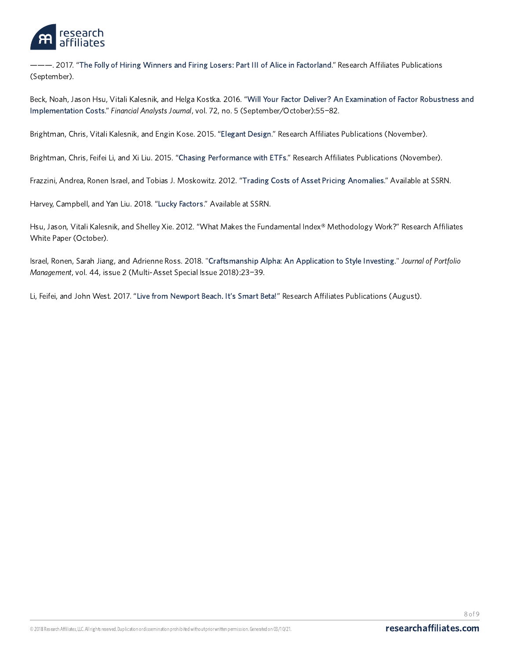

———. 2017. "The Folly of Hiring Winners and Firing Losers: Part III of Alice in [Factorland](https://www.researchaffiliates.com/content/ra/na/en_us/publications/articles/630-the-folly-of-hiring-winners-and-firing-losers.html)." Research Affiliates Publications (September).

Beck, Noah, Jason Hsu, Vitali Kalesnik, and Helga Kostka. 2016. "Will Your Factor Deliver? An Examination of Factor Robustness and Implementation Costs." Financial Analysts Journal, vol. 72, no. 5 [\(September/October\):55](https://www.researchaffiliates.com/content/ra/na/en_us/publications/journal-papers/312_will_your_factor_deliver_an_examination_of_factor_robustness_and_implementation_costs_factor_zoology.html)−82.

Brightman, Chris, Vitali Kalesnik, and Engin Kose. 2015. "[Elegant](https://www.researchaffiliates.com/content/ra/na/en_us/publications/articles/446_elegant_design.html) Design." Research Affiliates Publications (November).

Brightman, Chris, Feifei Li, and Xi Liu. 2015. "Chasing [Performance](https://www.researchaffiliates.com/content/ra/na/en_us/publications/articles/470_chasing_performance_with_etfs.html) with ETFs." Research Affiliates Publications (November).

Frazzini, Andrea, Ronen Israel, and Tobias J. Moskowitz. 2012. "Trading Costs of Asset Pricing [Anomalies](https://papers.ssrn.com/sol3/papers.cfm?abstract_id=2294498)." Available at SSRN.

Harvey, Campbell, and Yan Liu. 2018. "Lucky [Factors](https://ssrn.com/abstract=2528780)." Available at SSRN.

Hsu, Jason, Vitali Kalesnik, and Shelley Xie. 2012. "What Makes the Fundamental Index® Methodology Work?" Research Affiliates White Paper(October).

Israel, Ronen, Sarah Jiang, and Adrienne Ross. 2018. ["Craftsmanship](http://jpm.iijournals.com/content/44/2/23) Alpha: An Application to Style Investing." Journal of Portfolio Management, vol. 44, issue 2 (Multi-Asset Special Issue 2018):23−39.

Li, Feifei, and John West. 2017. "Live from [Newport](https://www.researchaffiliates.com/content/ra/na/en_us/publications/articles/626-live-from-newport-beach-its-smart-beta.html) Beach. It's Smart Beta!" Research Affiliates Publications (August).